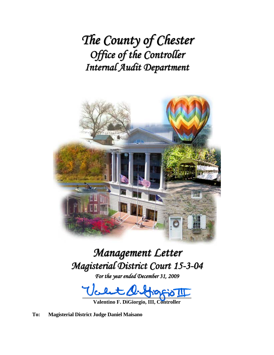*The County of Chester Office of the Controller Internal Audit Department*



# *Management Letter Magisterial District Court 15-3-04*

*For the year ended December 31, 2009*

**\_\_\_\_\_\_\_\_\_\_\_\_\_\_\_\_\_\_\_\_\_\_\_\_\_\_\_\_\_\_\_\_\_\_\_\_\_\_\_\_\_** 

**Valentino F. DiGiorgio, III, Controller** 

**To: Magisterial District Judge Daniel Maisano**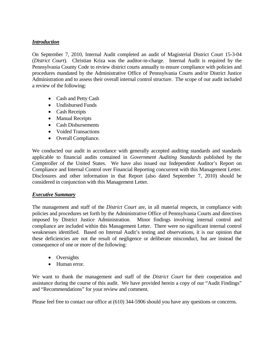# *Introduction*

On September 7, 2010, Internal Audit completed an audit of Magisterial District Court 15-3-04 (*District Court*). Christian Kriza was the auditor-in-charge. Internal Audit is required by the Pennsylvania County Code to review district courts annually to ensure compliance with policies and procedures mandated by the Administrative Office of Pennsylvania Courts and/or District Justice Administration and to assess their overall internal control structure. The scope of our audit included a review of the following:

- Cash and Petty Cash
- Undisbursed Funds
- Cash Receipts
- Manual Receipts
- Cash Disbursements
- Voided Transactions
- Overall Compliance.

We conducted our audit in accordance with generally accepted auditing standards and standards applicable to financial audits contained in *Government Auditing Standards* published by the Comptroller of the United States. We have also issued our Independent Auditor's Report on Compliance and Internal Control over Financial Reporting concurrent with this Management Letter. Disclosures and other information in that Report (also dated September 7, 2010) should be considered in conjunction with this Management Letter.

## *Executive Summary*

The management and staff of the *District Court* are, in all material respects, in compliance with policies and procedures set forth by the Administrative Office of Pennsylvania Courts and directives imposed by District Justice Administration. Minor findings involving internal control and compliance are included within this Management Letter. There were no significant internal control weaknesses identified. Based on Internal Audit's testing and observations, it is our opinion that these deficiencies are not the result of negligence or deliberate misconduct, but are instead the consequence of one or more of the following:

- Oversights
- Human error.

We want to thank the management and staff of the *District Court* for their cooperation and assistance during the course of this audit. We have provided herein a copy of our "Audit Findings" and "Recommendations" for your review and comment.

Please feel free to contact our office at (610) 344-5906 should you have any questions or concerns.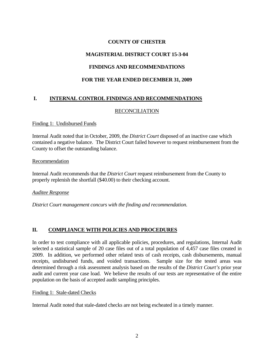## **COUNTY OF CHESTER**

# **MAGISTERIAL DISTRICT COURT 15-3-04**

# **FINDINGS AND RECOMMENDATIONS**

## **FOR THE YEAR ENDED DECEMBER 31, 2009**

## **I. INTERNAL CONTROL FINDINGS AND RECOMMENDATIONS**

## RECONCILIATION

Finding 1: Undisbursed Funds

Internal Audit noted that in October, 2009, the *District Court* disposed of an inactive case which contained a negative balance. The District Court failed however to request reimbursement from the County to offset the outstanding balance.

#### Recommendation

Internal Audit recommends that the *District Court* request reimbursement from the County to properly replenish the shortfall (\$40.00) to their checking account.

## *Auditee Response*

*District Court management concurs with the finding and recommendation.* 

## **II. COMPLIANCE WITH POLICIES AND PROCEDURES**

In order to test compliance with all applicable policies, procedures, and regulations, Internal Audit selected a statistical sample of 20 case files out of a total population of 4,457 case files created in 2009. In addition, we performed other related tests of cash receipts, cash disbursements, manual receipts, undisbursed funds, and voided transactions. Sample size for the tested areas was determined through a risk assessment analysis based on the results of the *District Court's* prior year audit and current year case load. We believe the results of our tests are representative of the entire population on the basis of accepted audit sampling principles.

## Finding 1: Stale-dated Checks

Internal Audit noted that stale-dated checks are not being escheated in a timely manner.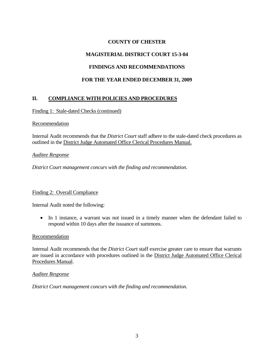# **COUNTY OF CHESTER**

# **MAGISTERIAL DISTRICT COURT 15-3-04**

# **FINDINGS AND RECOMMENDATIONS**

## **FOR THE YEAR ENDED DECEMBER 31, 2009**

## **II. COMPLIANCE WITH POLICIES AND PROCEDURES**

Finding 1: Stale-dated Checks (continued)

## Recommendation

Internal Audit recommends that the *District Court* staff adhere to the stale-dated check procedures as outlined in the District Judge Automated Office Clerical Procedures Manual.

## *Auditee Response*

*District Court management concurs with the finding and recommendation.* 

## Finding 2: Overall Compliance

Internal Audit noted the following:

• In 1 instance, a warrant was not issued in a timely manner when the defendant failed to respond within 10 days after the issuance of summons.

## **Recommendation**

Internal Audit recommends that the *District Court* staff exercise greater care to ensure that warrants are issued in accordance with procedures outlined in the District Judge Automated Office Clerical Procedures Manual.

## *Auditee Response*

*District Court management concurs with the finding and recommendation.*